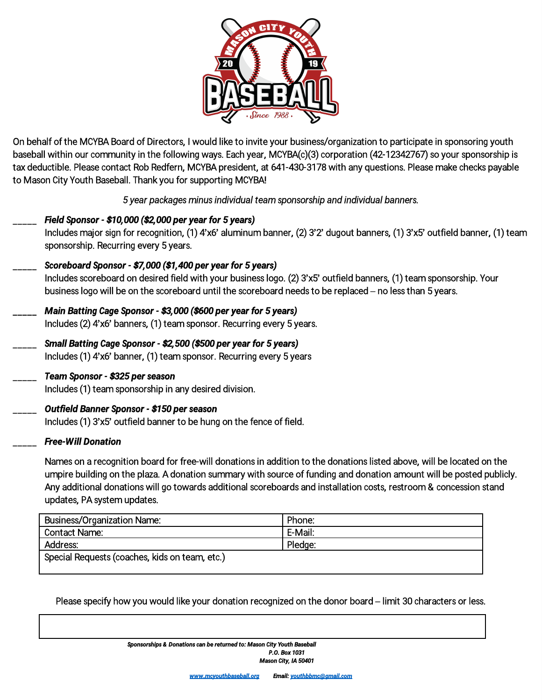

On behalf of the MCYBA Board of Directors, I would like to invite your business/organization to participate in sponsoring youth baseball within our community in the following ways. Each year, MCYBA(c)(3) corporation (42-12342767) so your sponsorship is tax deductible. Please contact Rob Redfern, MCYBA president, at 641-430-3178 with any questions. Please make checks payable to Mason City Youth Baseball. Thank you for supporting MCYBA!

*5 year packages minus individual team sponsorship and individual banners.*

- \_\_\_\_\_ *Field Sponsor - \$10,000 (\$2,000 per year for 5 years)* Includes major sign for recognition, (1) 4'x6' aluminum banner, (2) 3'2' dugout banners, (1) 3'x5' outfield banner, (1) team sponsorship. Recurring every 5 years. \_\_\_\_\_ *Scoreboard Sponsor - \$7,000 (\$1,400 per year for 5 years)* Includes scoreboard on desired field with your business logo. (2) 3'x5' outfield banners, (1) team sponsorship. Your
	- business logo will be on the scoreboard until the scoreboard needs to be replaced no less than 5 years.
	- \_\_\_\_\_ *Main Batting Cage Sponsor - \$3,000 (\$600 per year for 5 years)*
		- Includes (2) 4'x6' banners, (1) team sponsor. Recurring every 5 years.
	- \_\_\_\_\_ *Small Batting Cage Sponsor - \$2,500 (\$500 per year for 5 years)* Includes (1) 4'x6' banner, (1) team sponsor. Recurring every 5 years
		- \_\_\_\_\_ *Team Sponsor - \$325 per season*

Includes (1) team sponsorship in any desired division.

## \_\_\_\_\_ *Outfield Banner Sponsor - \$150 per season*

Includes (1) 3'x5' outfield banner to be hung on the fence of field.

## \_\_\_\_\_ *Free-Will Donation*

Names on a recognition board for free-will donations in addition to the donations listed above, will be located on the umpire building on the plaza. Adonation summary with source of funding and donation amount will be posted publicly. Any additional donations will go towards additional scoreboards and installation costs, restroom & concession stand updates, PA system updates.

| <b>Business/Organization Name:</b>             | Phone:  |
|------------------------------------------------|---------|
| Contact Name:                                  | E-Mail: |
| <b>Address:</b>                                | Pledge: |
| Special Requests (coaches, kids on team, etc.) |         |
|                                                |         |

Please specify how you would like your donation recognized on the donor board – limit 30 characters or less.

*Sponsorships & Donations can be returned to: Mason City Youth Baseball P.O. Box 1031 Mason City, IA 50401*